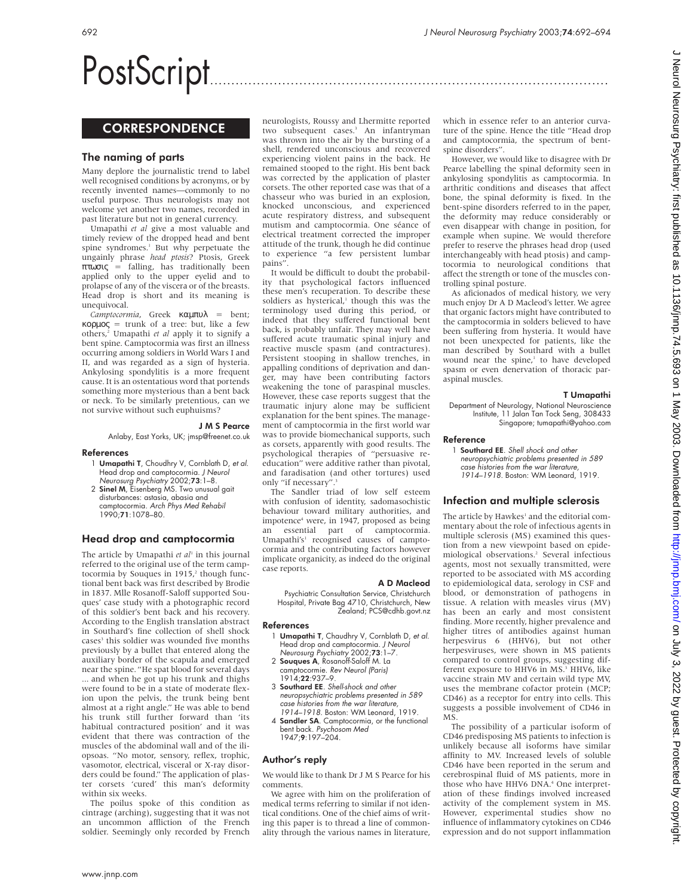# PostScript..............................................................................................

## **CORRESPONDENCE**

## The naming of parts

Many deplore the journalistic trend to label well recognised conditions by acronyms, or by recently invented names—commonly to no useful purpose. Thus neurologists may not welcome yet another two names, recorded in past literature but not in general currency.

Umapathi *et al* give a most valuable and timely review of the dropped head and bent spine syndromes.<sup>1</sup> But why perpetuate the ungainly phrase *head ptosis*? Ptosis, Greek πτωσις = falling, has traditionally been applied only to the upper eyelid and to prolapse of any of the viscera or of the breasts. Head drop is short and its meaning is unequivocal.

*Camptocormia*, Greek καµπυλ = bent; κορµος = trunk of a tree: but, like a few others,2 Umapathi *et al* apply it to signify a bent spine. Camptocormia was first an illness occurring among soldiers in World Wars I and II, and was regarded as a sign of hysteria. Ankylosing spondylitis is a more frequent cause. It is an ostentatious word that portends something more mysterious than a bent back or neck. To be similarly pretentious, can we not survive without such euphuisms?

#### J M S Pearce

Anlaby, East Yorks, UK; jmsp@freenet.co.uk

#### References

- 1 Umapathi T, Choudhry V, Cornblath D, et al. Head drop and camptocormia. J Neurol Neurosurg Psychiatry 2002;73:1–8.
- 2 Sinel M, Eisenberg MS. Two unusual gait disturbances: astasia, abasia and camptocormia. Arch Phys Med Rehabil 1990;71:1078–80.

## Head drop and camptocormia

The article by Umapathi et al<sup>1</sup> in this journal referred to the original use of the term camptocormia by Souques in  $1915$ ,<sup>2</sup> though functional bent back was first described by Brodie in 1837. Mlle Rosanoff-Saloff supported Souques' case study with a photographic record of this soldier's bent back and his recovery. According to the English translation abstract in Southard's fine collection of shell shock cases<sup>3</sup> this soldier was wounded five months previously by a bullet that entered along the auxiliary border of the scapula and emerged near the spine. "He spat blood for several days ... and when he got up his trunk and thighs were found to be in a state of moderate flexion upon the pelvis, the trunk being bent almost at a right angle." He was able to bend his trunk still further forward than 'its habitual contractured position' and it was evident that there was contraction of the muscles of the abdominal wall and of the iliopsoas. "No motor, sensory, reflex, trophic, vasomotor, electrical, visceral or X-ray disorders could be found." The application of plaster corsets 'cured' this man's deformity within six weeks.

The poilus spoke of this condition as cintrage (arching), suggesting that it was not an uncommon affliction of the French soldier. Seemingly only recorded by French

neurologists, Roussy and Lhermitte reported two subsequent cases.<sup>3</sup> An infantryman was thrown into the air by the bursting of a shell, rendered unconscious and recovered experiencing violent pains in the back. He remained stooped to the right. His bent back was corrected by the application of plaster corsets. The other reported case was that of a chasseur who was buried in an explosion, knocked unconscious, and experienced acute respiratory distress, and subsequent mutism and camptocormia. One séance of electrical treatment corrected the improper attitude of the trunk, though he did continue to experience "a few persistent lumbar pains".

It would be difficult to doubt the probability that psychological factors influenced these men's recuperation. To describe these soldiers as hysterical,<sup>1</sup> though this was the terminology used during this period, or indeed that they suffered functional bent back, is probably unfair. They may well have suffered acute traumatic spinal injury and reactive muscle spasm (and contractures). Persistent stooping in shallow trenches, in appalling conditions of deprivation and danger, may have been contributing factors weakening the tone of paraspinal muscles. However, these case reports suggest that the traumatic injury alone may be sufficient explanation for the bent spines. The management of camptocormia in the first world war was to provide biomechanical supports, such as corsets, apparently with good results. The psychological therapies of "persuasive reeducation" were additive rather than pivotal, and faradisation (and other tortures) used only "if necessary".

The Sandler triad of low self esteem with confusion of identity, sadomasochistic behaviour toward military authorities, and impotence<sup>4</sup> were, in 1947, proposed as being an essential part of camptocormia. Umapathi's<sup>1</sup> recognised causes of camptocormia and the contributing factors however implicate organicity, as indeed do the original case reports.

#### A D Macleod

Psychiatric Consultation Service, Christchurch Hospital, Private Bag 4710, Christchurch, New Zealand; PCS@cdhb.govt.nz

#### References

- 1 Umapathi T, Chaudhry V, Cornblath D, et al. Head drop and camptocormia. J Neurol Neurosurg Psychiatry 2002;73:1–7.
- 2 Souques A, Rosanoff-Saloff M. La camptocormie. Rev Neurol (Paris)
- 1914;**22**:937–9. 3 Southard EE. Shell-shock and other
- neuropsychiatric problems presented in 589 case histories from the war literature, 1914–1918. Boston: WM Leonard, 1919.
- 4 Sandler SA. Camptocormia, or the functional bent back. Psychosom Med 1947;9:197–204.

#### Author's reply

We would like to thank Dr J M S Pearce for his comments.

We agree with him on the proliferation of medical terms referring to similar if not identical conditions. One of the chief aims of writing this paper is to thread a line of commonality through the various names in literature,

which in essence refer to an anterior curvature of the spine. Hence the title "Head drop and camptocormia, the spectrum of bentspine disorders".

However, we would like to disagree with Dr Pearce labelling the spinal deformity seen in ankylosing spondylitis as camptocormia. In arthritic conditions and diseases that affect bone, the spinal deformity is fixed. In the bent-spine disorders referred to in the paper, the deformity may reduce considerably or even disappear with change in position, for example when supine. We would therefore prefer to reserve the phrases head drop (used interchangeably with head ptosis) and camptocormia to neurological conditions that affect the strength or tone of the muscles controlling spinal posture.

As aficionados of medical history, we very much enjoy Dr A D Macleod's letter. We agree that organic factors might have contributed to the camptocormia in solders believed to have been suffering from hysteria. It would have not been unexpected for patients, like the man described by Southard with a bullet wound near the spine,<sup>1</sup> to have developed spasm or even denervation of thoracic paraspinal muscles.

#### T Umapathi

Department of Neurology, National Neuroscience Institute, 11 Jalan Tan Tock Seng, 308433 Singapore; tumapathi@yahoo.com

#### Reference

1 Southard EE. Shell shock and other neuropsychiatric problems presented in 589 case histories from the war literature, 1914–1918. Boston: WM Leonard, 1919.

## Infection and multiple sclerosis

The article by Hawkes<sup>1</sup> and the editorial commentary about the role of infectious agents in multiple sclerosis (MS) examined this question from a new viewpoint based on epidemiological observations.2 Several infectious agents, most not sexually transmitted, were reported to be associated with MS according to epidemiological data, serology in CSF and blood, or demonstration of pathogens in tissue. A relation with measles virus (MV) has been an early and most consistent finding. More recently, higher prevalence and higher titres of antibodies against human herpesvirus 6 (HHV6), but not other herpesviruses, were shown in MS patients compared to control groups, suggesting different exposure to HHV6 in MS.<sup>3</sup> HHV6, like vaccine strain MV and certain wild type MV, uses the membrane cofactor protein (MCP; CD46) as a receptor for entry into cells. This suggests a possible involvement of CD46 in MS.

The possibility of a particular isoform of CD46 predisposing MS patients to infection is unlikely because all isoforms have similar affinity to MV. Increased levels of soluble CD46 have been reported in the serum and cerebrospinal fluid of MS patients, more in those who have HHV6 DNA.<sup>4</sup> One interpretation of these findings involved increased activity of the complement system in MS. However, experimental studies show no influence of inflammatory cytokines on CD46 expression and do not support inflammation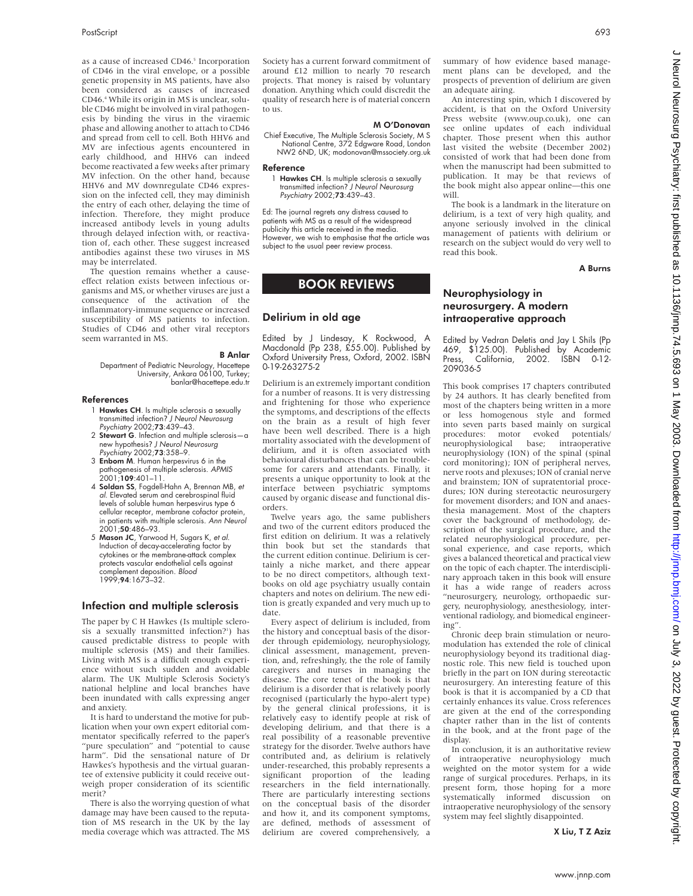as a cause of increased CD46.<sup>5</sup> Incorporation of CD46 in the viral envelope, or a possible genetic propensity in MS patients, have also been considered as causes of increased CD46.4 While its origin in MS is unclear, soluble CD46 might be involved in viral pathogenesis by binding the virus in the viraemic phase and allowing another to attach to CD46 and spread from cell to cell. Both HHV6 and MV are infectious agents encountered in early childhood, and HHV6 can indeed become reactivated a few weeks after primary MV infection. On the other hand, because HHV6 and MV downregulate CD46 expression on the infected cell, they may diminish the entry of each other, delaying the time of infection. Therefore, they might produce increased antibody levels in young adults through delayed infection with, or reactivation of, each other. These suggest increased antibodies against these two viruses in MS may be interrelated.

The question remains whether a causeeffect relation exists between infectious organisms and MS, or whether viruses are just a consequence of the activation of the inflammatory-immune sequence or increased susceptibility of MS patients to infection. Studies of CD46 and other viral receptors seem warranted in MS.

#### B Anlar

Department of Pediatric Neurology, Hacettepe University, Ankara 06100, Turkey; banlar@hacettepe.edu.tr

#### References

- 1 **Hawkes CH**. Is multiple sclerosis a sexually transmitted infection? J Neurol Neurosurg Psychiatry 2002;73:439–43.
- 2 Stewart G. Infection and multiple sclerosis-a new hypothesis? J Neurol Neurosurg Psychiatry 2002;73:358–9.
- 3 Enbom M. Human herpesvirus 6 in the pathogenesis of multiple sclerosis. APMIS  $2001$ ;109:401–11.
- 4 Soldan SS, Fogdell-Hahn A, Brennan MB, et al. Elevated serum and cerebrospinal fluid levels of soluble human herpesvirus type 6 cellular receptor, membrane cofactor protein, in patients with multiple sclerosis. Ann Neurol 2001;50:486–93.
- 5 Mason JC, Yarwood H, Sugars K, et al. Induction of decay-accelerating factor by cytokines or the membrane-attack complex protects vascular endothelial cells against complement deposition. Blood 1999;94:1673–32.

#### Infection and multiple sclerosis

The paper by C H Hawkes (Is multiple sclerosis a sexually transmitted infection?<sup>1</sup>) has caused predictable distress to people with multiple sclerosis (MS) and their families. Living with MS is a difficult enough experience without such sudden and avoidable alarm. The UK Multiple Sclerosis Society's national helpline and local branches have been inundated with calls expressing anger and anxiety.

It is hard to understand the motive for publication when your own expert editorial commentator specifically referred to the paper's "pure speculation" and "potential to cause harm". Did the sensational nature of Dr Hawkes's hypothesis and the virtual guarantee of extensive publicity it could receive outweigh proper consideration of its scientific merit?

There is also the worrying question of what damage may have been caused to the reputation of MS research in the UK by the lay media coverage which was attracted. The MS Society has a current forward commitment of around £12 million to nearly 70 research projects. That money is raised by voluntary donation. Anything which could discredit the quality of research here is of material concern to us.

#### M O'Donovan

Chief Executive, The Multiple Sclerosis Society, M S National Centre, 372 Edgware Road, London NW2 6ND, UK; modonovan@mssociety.org.uk

#### Reference

1 Hawkes CH. Is multiple sclerosis a sexually transmitted infection? J Neurol Neurosurg Psychiatry 2002;73:439–43.

Ed: The journal regrets any distress caused to patients with MS as a result of the widespread publicity this article received in the media. However, we wish to emphasise that the article was subject to the usual peer review process.

## BOOK REVIEWS

## Delirium in old age

Edited by J Lindesay, K Rockwood, A Macdonald (Pp 238, £55.00). Published by Oxford University Press, Oxford, 2002. ISBN 0-19-263275-2

Delirium is an extremely important condition for a number of reasons. It is very distressing and frightening for those who experience the symptoms, and descriptions of the effects on the brain as a result of high fever have been well described. There is a high mortality associated with the development of delirium, and it is often associated with behavioural disturbances that can be troublesome for carers and attendants. Finally, it presents a unique opportunity to look at the interface between psychiatric symptoms caused by organic disease and functional disorders.

Twelve years ago, the same publishers and two of the current editors produced the first edition on delirium. It was a relatively thin book but set the standards that the current edition continue. Delirium is certainly a niche market, and there appear to be no direct competitors, although textbooks on old age psychiatry usually contain chapters and notes on delirium. The new edition is greatly expanded and very much up to date.

Every aspect of delirium is included, from the history and conceptual basis of the disorder through epidemiology, neurophysiology, clinical assessment, management, prevention, and, refreshingly, the the role of family caregivers and nurses in managing the disease. The core tenet of the book is that delirium is a disorder that is relatively poorly recognised (particularly the hypo-alert type) by the general clinical professions, it is relatively easy to identify people at risk of developing delirium, and that there is a real possibility of a reasonable preventive strategy for the disorder. Twelve authors have contributed and, as delirium is relatively under-researched, this probably represents a significant proportion of the leading researchers in the field internationally. There are particularly interesting sections on the conceptual basis of the disorder and how it, and its component symptoms, are defined, methods of assessment of delirium are covered comprehensively, a summary of how evidence based management plans can be developed, and the prospects of prevention of delirium are given an adequate airing.

An interesting spin, which I discovered by accident, is that on the Oxford University Press website (www.oup.co.uk), one can see online updates of each individual chapter. Those present when this author last visited the website (December 2002) consisted of work that had been done from when the manuscript had been submitted to publication. It may be that reviews of the book might also appear online—this one will.

The book is a landmark in the literature on delirium, is a text of very high quality, and anyone seriously involved in the clinical management of patients with delirium or research on the subject would do very well to read this book.

A Burns

## Neurophysiology in neurosurgery. A modern intraoperative approach

Edited by Vedran Deletis and Jay L Shils (Pp 469, \$125.00). Published by Academic California, 2002. ISBN 0-12-209036-5

This book comprises 17 chapters contributed by 24 authors. It has clearly benefited from most of the chapters being written in a more or less homogenous style and formed into seven parts based mainly on surgical procedures: motor evoked potentials/<br>
neurophysiological base: intraoperative neurophysiological base; neurophysiology (ION) of the spinal (spinal cord monitoring); ION of peripheral nerves, nerve roots and plexuses; ION of cranial nerve and brainstem; ION of supratentorial procedures; ION during stereotactic neurosurgery for movement disorders; and ION and anaesthesia management. Most of the chapters cover the background of methodology, description of the surgical procedure, and the related neurophysiological procedure, personal experience, and case reports, which gives a balanced theoretical and practical view on the topic of each chapter. The interdisciplinary approach taken in this book will ensure it has a wide range of readers across "neurosurgery, neurology, orthopaedic surgery, neurophysiology, anesthesiology, interventional radiology, and biomedical engineering".

Chronic deep brain stimulation or neuromodulation has extended the role of clinical neurophysiology beyond its traditional diagnostic role. This new field is touched upon briefly in the part on ION during stereotactic neurosurgery. An interesting feature of this book is that it is accompanied by a CD that certainly enhances its value. Cross references are given at the end of the corresponding chapter rather than in the list of contents in the book, and at the front page of the display.

In conclusion, it is an authoritative review of intraoperative neurophysiology much weighted on the motor system for a wide range of surgical procedures. Perhaps, in its present form, those hoping for a more systematically informed discussion on intraoperative neurophysiology of the sensory system may feel slightly disappointed.

X Liu, T Z Aziz